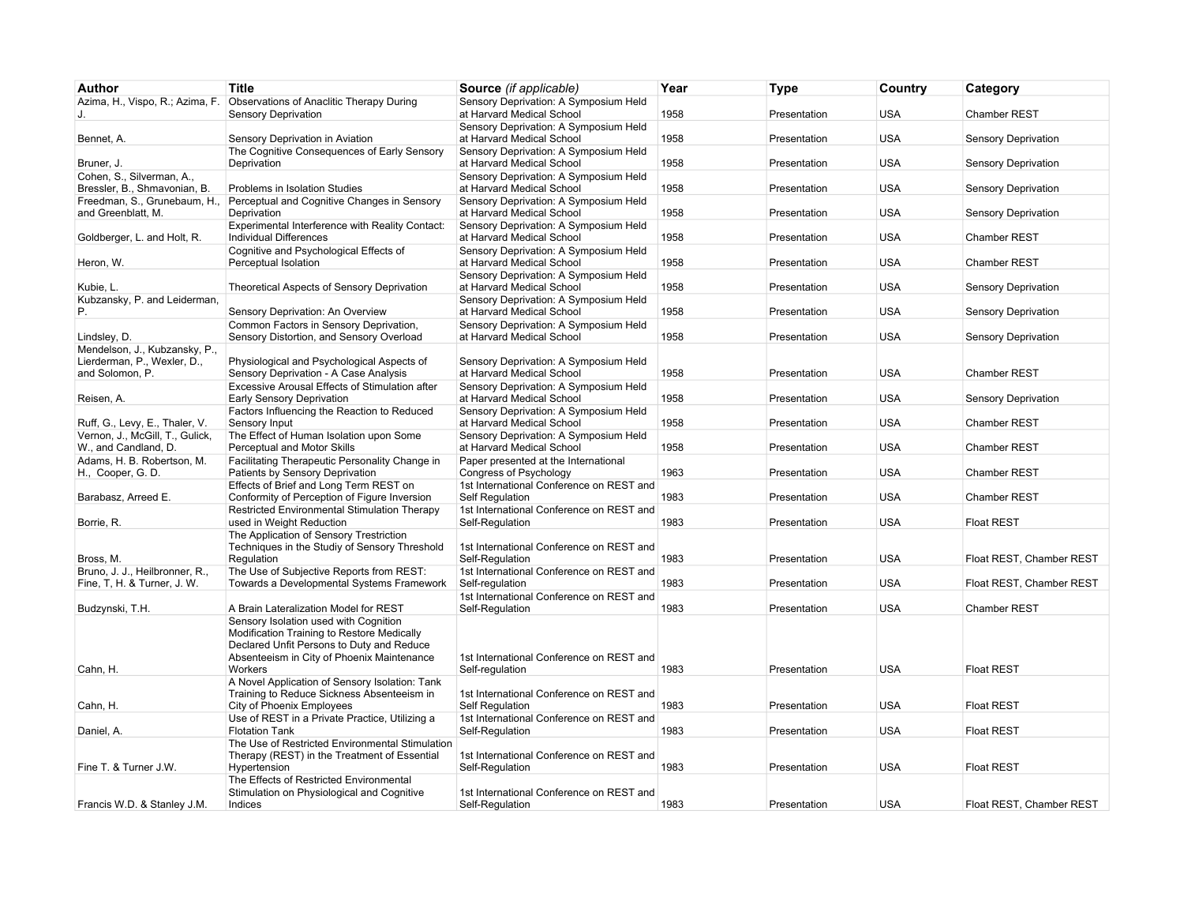| Author                                                            | <b>Title</b>                                                                                                                     | Source (if applicable)                                             | Year | <b>Type</b>  | Country    | Category                   |
|-------------------------------------------------------------------|----------------------------------------------------------------------------------------------------------------------------------|--------------------------------------------------------------------|------|--------------|------------|----------------------------|
| Azima, H., Vispo, R.; Azima, F.                                   | Observations of Anaclitic Therapy During                                                                                         | Sensory Deprivation: A Symposium Held                              |      |              |            |                            |
| J.                                                                | <b>Sensory Deprivation</b>                                                                                                       | at Harvard Medical School<br>Sensory Deprivation: A Symposium Held | 1958 | Presentation | <b>USA</b> | <b>Chamber REST</b>        |
| Bennet, A.                                                        | Sensory Deprivation in Aviation                                                                                                  | at Harvard Medical School                                          | 1958 | Presentation | <b>USA</b> | Sensory Deprivation        |
| Bruner, J.                                                        | The Cognitive Consequences of Early Sensory<br>Deprivation                                                                       | Sensory Deprivation: A Symposium Held<br>at Harvard Medical School | 1958 | Presentation | <b>USA</b> | Sensory Deprivation        |
| Cohen, S., Silverman, A.,<br>Bressler, B., Shmavonian, B.         | Problems in Isolation Studies                                                                                                    | Sensory Deprivation: A Symposium Held<br>at Harvard Medical School | 1958 | Presentation | <b>USA</b> | Sensory Deprivation        |
| and Greenblatt, M.                                                | Freedman, S., Grunebaum, H., Perceptual and Cognitive Changes in Sensory<br>Deprivation                                          | Sensory Deprivation: A Symposium Held<br>at Harvard Medical School | 1958 | Presentation | <b>USA</b> | <b>Sensory Deprivation</b> |
| Goldberger, L. and Holt, R.                                       | Experimental Interference with Reality Contact:<br><b>Individual Differences</b>                                                 | Sensory Deprivation: A Symposium Held<br>at Harvard Medical School | 1958 | Presentation | <b>USA</b> | Chamber REST               |
|                                                                   | Cognitive and Psychological Effects of                                                                                           | Sensory Deprivation: A Symposium Held                              |      |              |            |                            |
| Heron, W.                                                         | Perceptual Isolation                                                                                                             | at Harvard Medical School                                          | 1958 | Presentation | <b>USA</b> | Chamber REST               |
| Kubie, L.                                                         | Theoretical Aspects of Sensory Deprivation                                                                                       | Sensory Deprivation: A Symposium Held<br>at Harvard Medical School | 1958 | Presentation | <b>USA</b> | Sensory Deprivation        |
| Kubzansky, P. and Leiderman,<br>Р.                                | Sensory Deprivation: An Overview                                                                                                 | Sensory Deprivation: A Symposium Held<br>at Harvard Medical School | 1958 | Presentation | <b>USA</b> | Sensory Deprivation        |
|                                                                   | Common Factors in Sensory Deprivation,                                                                                           | Sensory Deprivation: A Symposium Held                              |      |              |            |                            |
| Lindsley, D.                                                      | Sensory Distortion, and Sensory Overload                                                                                         | at Harvard Medical School                                          | 1958 | Presentation | <b>USA</b> | Sensory Deprivation        |
| Mendelson, J., Kubzansky, P.,                                     |                                                                                                                                  |                                                                    |      |              |            |                            |
| Lierderman, P., Wexler, D.,<br>and Solomon, P.                    | Physiological and Psychological Aspects of<br>Sensory Deprivation - A Case Analysis                                              | Sensory Deprivation: A Symposium Held<br>at Harvard Medical School | 1958 | Presentation | <b>USA</b> | <b>Chamber REST</b>        |
|                                                                   | Excessive Arousal Effects of Stimulation after                                                                                   | Sensory Deprivation: A Symposium Held                              |      |              |            |                            |
| Reisen, A.                                                        | Early Sensory Deprivation                                                                                                        | at Harvard Medical School                                          | 1958 | Presentation | <b>USA</b> | Sensory Deprivation        |
|                                                                   | Factors Influencing the Reaction to Reduced                                                                                      | Sensory Deprivation: A Symposium Held                              | 1958 |              | <b>USA</b> |                            |
| Ruff, G., Levy, E., Thaler, V.<br>Vernon, J., McGill, T., Gulick, | Sensory Input<br>The Effect of Human Isolation upon Some                                                                         | at Harvard Medical School<br>Sensory Deprivation: A Symposium Held |      | Presentation |            | <b>Chamber REST</b>        |
| W., and Candland, D.                                              | Perceptual and Motor Skills                                                                                                      | at Harvard Medical School                                          | 1958 | Presentation | <b>USA</b> | <b>Chamber REST</b>        |
| Adams, H. B. Robertson, M.<br>H., Cooper, G.D.                    | Facilitating Therapeutic Personality Change in<br>Patients by Sensory Deprivation                                                | Paper presented at the International<br>Congress of Psychology     | 1963 | Presentation | <b>USA</b> | Chamber REST               |
|                                                                   | Effects of Brief and Long Term REST on                                                                                           | 1st International Conference on REST and                           |      |              |            |                            |
| Barabasz, Arreed E.                                               | Conformity of Perception of Figure Inversion                                                                                     | Self Regulation                                                    | 1983 | Presentation | <b>USA</b> | <b>Chamber REST</b>        |
| Borrie, R.                                                        | Restricted Environmental Stimulation Therapy<br>used in Weight Reduction                                                         | 1st International Conference on REST and<br>Self-Regulation        | 1983 | Presentation | <b>USA</b> | <b>Float REST</b>          |
|                                                                   | The Application of Sensory Trestriction                                                                                          |                                                                    |      |              |            |                            |
|                                                                   | Techniques in the Studiy of Sensory Threshold                                                                                    | 1st International Conference on REST and                           |      |              |            |                            |
| Bross, M.                                                         | Regulation                                                                                                                       | Self-Regulation                                                    | 1983 | Presentation | <b>USA</b> | Float REST, Chamber REST   |
| Bruno, J. J., Heilbronner, R.,<br>Fine, T, H. & Turner, J. W.     | The Use of Subjective Reports from REST:<br>Towards a Developmental Systems Framework                                            | 1st International Conference on REST and<br>Self-regulation        | 1983 | Presentation | <b>USA</b> | Float REST, Chamber REST   |
|                                                                   |                                                                                                                                  | 1st International Conference on REST and                           |      |              |            |                            |
| Budzynski, T.H.                                                   | A Brain Lateralization Model for REST                                                                                            | Self-Regulation                                                    | 1983 | Presentation | <b>USA</b> | <b>Chamber REST</b>        |
|                                                                   | Sensory Isolation used with Cognition<br>Modification Training to Restore Medically<br>Declared Unfit Persons to Duty and Reduce |                                                                    |      |              |            |                            |
|                                                                   | Absenteeism in City of Phoenix Maintenance                                                                                       | 1st International Conference on REST and                           |      |              |            |                            |
| Cahn, H.                                                          | Workers                                                                                                                          | Self-regulation                                                    | 1983 | Presentation | <b>USA</b> | <b>Float REST</b>          |
|                                                                   | A Novel Application of Sensory Isolation: Tank<br>Training to Reduce Sickness Absenteeism in                                     | 1st International Conference on REST and                           |      |              |            |                            |
| Cahn, H.                                                          | City of Phoenix Employees<br>Use of REST in a Private Practice, Utilizing a                                                      | <b>Self Requlation</b><br>1st International Conference on REST and | 1983 | Presentation | <b>USA</b> | <b>Float REST</b>          |
| Daniel, A.                                                        | <b>Flotation Tank</b>                                                                                                            | Self-Regulation                                                    | 1983 | Presentation | <b>USA</b> | <b>Float REST</b>          |
|                                                                   | The Use of Restricted Environmental Stimulation                                                                                  |                                                                    |      |              |            |                            |
| Fine T. & Turner J.W.                                             | Therapy (REST) in the Treatment of Essential<br>Hypertension                                                                     | 1st International Conference on REST and<br>Self-Regulation        | 1983 | Presentation | <b>USA</b> | <b>Float REST</b>          |
|                                                                   | The Effects of Restricted Environmental<br>Stimulation on Physiological and Cognitive                                            | 1st International Conference on REST and                           |      |              |            |                            |
| Francis W.D. & Stanley J.M.                                       | Indices                                                                                                                          | Self-Regulation                                                    | 1983 | Presentation | <b>USA</b> | Float REST. Chamber REST   |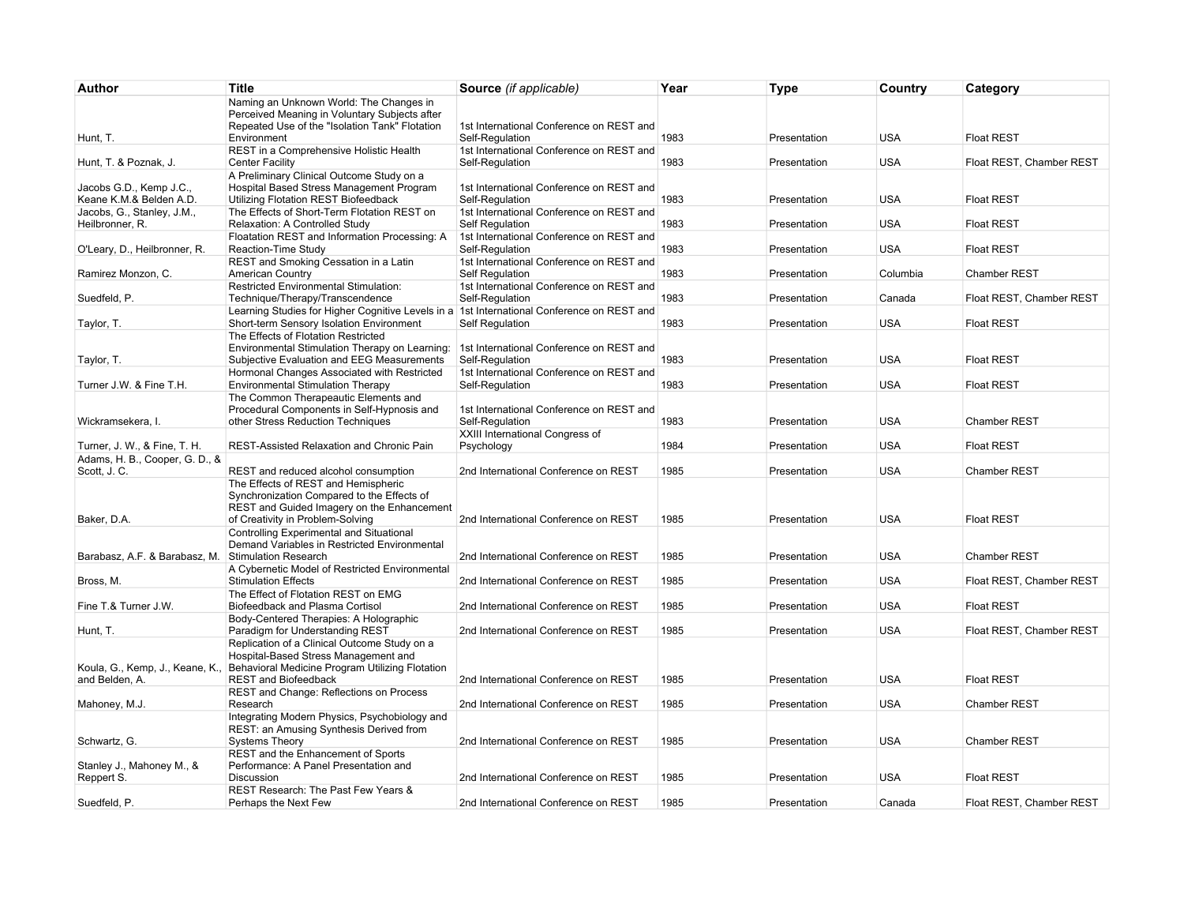| Author                                             | <b>Title</b>                                                                                                                                                        | Source (if applicable)                                      | Year | <b>Type</b>  | Country    | Category                 |
|----------------------------------------------------|---------------------------------------------------------------------------------------------------------------------------------------------------------------------|-------------------------------------------------------------|------|--------------|------------|--------------------------|
| Hunt, T.                                           | Naming an Unknown World: The Changes in<br>Perceived Meaning in Voluntary Subjects after<br>Repeated Use of the "Isolation Tank" Flotation<br>Environment           | 1st International Conference on REST and<br>Self-Regulation | 1983 | Presentation | <b>USA</b> | <b>Float REST</b>        |
|                                                    | REST in a Comprehensive Holistic Health                                                                                                                             | 1st International Conference on REST and                    |      |              |            |                          |
| Hunt, T. & Poznak, J.                              | <b>Center Facility</b>                                                                                                                                              | Self-Requlation                                             | 1983 | Presentation | <b>USA</b> | Float REST, Chamber REST |
| Jacobs G.D., Kemp J.C.,<br>Keane K.M.& Belden A.D. | A Preliminary Clinical Outcome Study on a<br>Hospital Based Stress Management Program<br>Utilizing Flotation REST Biofeedback                                       | 1st International Conference on REST and<br>Self-Regulation | 1983 | Presentation | <b>USA</b> | <b>Float REST</b>        |
| Jacobs, G., Stanley, J.M.,<br>Heilbronner, R.      | The Effects of Short-Term Flotation REST on<br>Relaxation: A Controlled Study                                                                                       | 1st International Conference on REST and<br>Self Regulation | 1983 | Presentation | <b>USA</b> | <b>Float REST</b>        |
| O'Leary, D., Heilbronner, R.                       | Floatation REST and Information Processing: A<br>Reaction-Time Study                                                                                                | 1st International Conference on REST and<br>Self-Requlation | 1983 | Presentation | <b>USA</b> | <b>Float REST</b>        |
| Ramirez Monzon, C.                                 | REST and Smoking Cessation in a Latin<br><b>American Country</b>                                                                                                    | 1st International Conference on REST and<br>Self Regulation | 1983 | Presentation | Columbia   | <b>Chamber REST</b>      |
|                                                    | <b>Restricted Environmental Stimulation:</b>                                                                                                                        | 1st International Conference on REST and                    |      |              |            |                          |
| Suedfeld, P.                                       | Technique/Therapy/Transcendence                                                                                                                                     | Self-Regulation                                             | 1983 | Presentation | Canada     | Float REST, Chamber REST |
| Taylor, T.                                         | Learning Studies for Higher Cognitive Levels in a 1st International Conference on REST and<br>Short-term Sensory Isolation Environment                              | <b>Self Requlation</b>                                      | 1983 | Presentation | <b>USA</b> | <b>Float REST</b>        |
|                                                    | The Effects of Flotation Restricted                                                                                                                                 |                                                             |      |              |            |                          |
| Taylor, T.                                         | Environmental Stimulation Therapy on Learning:<br>Subjective Evaluation and EEG Measurements                                                                        | 1st International Conference on REST and<br>Self-Requlation | 1983 | Presentation | <b>USA</b> | <b>Float REST</b>        |
|                                                    | Hormonal Changes Associated with Restricted                                                                                                                         | 1st International Conference on REST and                    |      |              |            |                          |
| Turner J.W. & Fine T.H.                            | <b>Environmental Stimulation Therapy</b>                                                                                                                            | Self-Requlation                                             | 1983 | Presentation | <b>USA</b> | <b>Float REST</b>        |
|                                                    | The Common Therapeautic Elements and<br>Procedural Components in Self-Hypnosis and                                                                                  | 1st International Conference on REST and                    |      |              |            |                          |
| Wickramsekera, I.                                  | other Stress Reduction Techniques                                                                                                                                   | Self-Regulation                                             | 1983 | Presentation | <b>USA</b> | Chamber REST             |
| Turner, J. W., & Fine, T. H.                       | REST-Assisted Relaxation and Chronic Pain                                                                                                                           | XXIII International Congress of<br>Psychology               | 1984 | Presentation | <b>USA</b> | <b>Float REST</b>        |
| Adams, H. B., Cooper, G. D., &<br>Scott, J. C.     | REST and reduced alcohol consumption                                                                                                                                | 2nd International Conference on REST                        | 1985 | Presentation | <b>USA</b> | <b>Chamber REST</b>      |
| Baker, D.A.                                        | The Effects of REST and Hemispheric<br>Synchronization Compared to the Effects of<br>REST and Guided Imagery on the Enhancement<br>of Creativity in Problem-Solving | 2nd International Conference on REST                        | 1985 | Presentation | <b>USA</b> | <b>Float REST</b>        |
| Barabasz, A.F. & Barabasz, M. Stimulation Research | Controlling Experimental and Situational<br>Demand Variables in Restricted Environmental                                                                            | 2nd International Conference on REST                        | 1985 | Presentation | <b>USA</b> | Chamber REST             |
| Bross, M.                                          | A Cybernetic Model of Restricted Environmental<br><b>Stimulation Effects</b>                                                                                        | 2nd International Conference on REST                        | 1985 | Presentation | <b>USA</b> | Float REST, Chamber REST |
|                                                    | The Effect of Flotation REST on EMG                                                                                                                                 |                                                             |      |              |            |                          |
| Fine T.& Turner J.W.                               | Biofeedback and Plasma Cortisol<br>Body-Centered Therapies: A Holographic                                                                                           | 2nd International Conference on REST                        | 1985 | Presentation | <b>USA</b> | <b>Float REST</b>        |
| Hunt, T.                                           | Paradigm for Understanding REST                                                                                                                                     | 2nd International Conference on REST                        | 1985 | Presentation | <b>USA</b> | Float REST, Chamber REST |
| Koula, G., Kemp, J., Keane, K.,                    | Replication of a Clinical Outcome Study on a<br>Hospital-Based Stress Management and<br>Behavioral Medicine Program Utilizing Flotation                             |                                                             |      |              |            |                          |
| and Belden, A.                                     | <b>REST</b> and Biofeedback                                                                                                                                         | 2nd International Conference on REST                        | 1985 | Presentation | <b>USA</b> | <b>Float REST</b>        |
| Mahoney, M.J.                                      | REST and Change: Reflections on Process<br>Research                                                                                                                 | 2nd International Conference on REST                        | 1985 | Presentation | <b>USA</b> | <b>Chamber REST</b>      |
|                                                    | Integrating Modern Physics, Psychobiology and<br>REST: an Amusing Synthesis Derived from                                                                            |                                                             |      |              |            |                          |
| Schwartz, G.                                       | <b>Systems Theory</b><br>REST and the Enhancement of Sports                                                                                                         | 2nd International Conference on REST                        | 1985 | Presentation | <b>USA</b> | <b>Chamber REST</b>      |
| Stanley J., Mahoney M., &<br>Reppert S.            | Performance: A Panel Presentation and<br><b>Discussion</b>                                                                                                          | 2nd International Conference on REST                        | 1985 | Presentation | <b>USA</b> | <b>Float REST</b>        |
|                                                    | REST Research: The Past Few Years &                                                                                                                                 |                                                             |      |              |            |                          |
| Suedfeld, P.                                       | Perhaps the Next Few                                                                                                                                                | 2nd International Conference on REST                        | 1985 | Presentation | Canada     | Float REST, Chamber REST |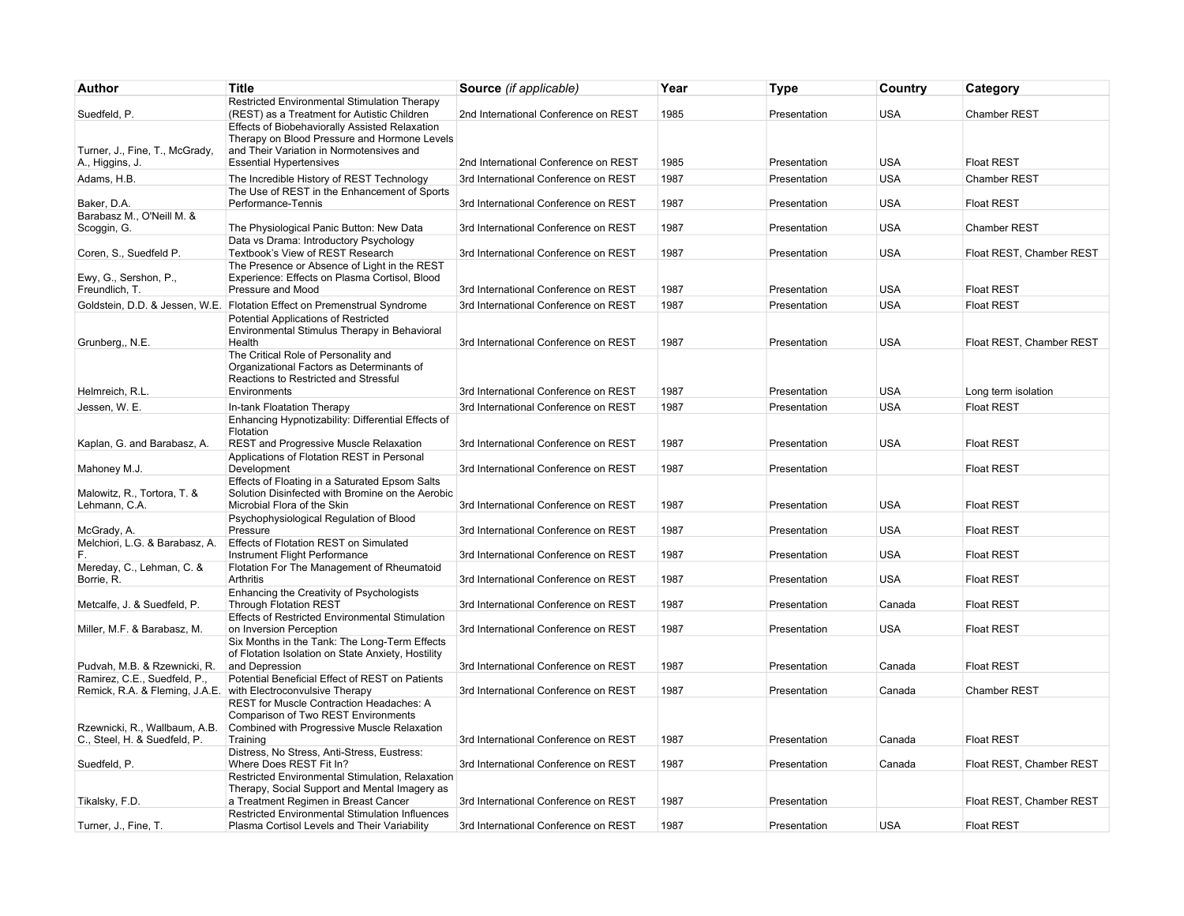| Author                                        | <b>Title</b>                                                                                                     | Source (if applicable)               | Year | <b>Type</b>  | Country    | Category                 |
|-----------------------------------------------|------------------------------------------------------------------------------------------------------------------|--------------------------------------|------|--------------|------------|--------------------------|
|                                               | Restricted Environmental Stimulation Therapy                                                                     |                                      |      |              |            |                          |
| Suedfeld, P.                                  | (REST) as a Treatment for Autistic Children<br>Effects of Biobehaviorally Assisted Relaxation                    | 2nd International Conference on REST | 1985 | Presentation | <b>USA</b> | <b>Chamber REST</b>      |
|                                               | Therapy on Blood Pressure and Hormone Levels                                                                     |                                      |      |              |            |                          |
| Turner, J., Fine, T., McGrady,                | and Their Variation in Normotensives and                                                                         |                                      |      |              |            |                          |
| A., Higgins, J.                               | <b>Essential Hypertensives</b>                                                                                   | 2nd International Conference on REST | 1985 | Presentation | <b>USA</b> | <b>Float REST</b>        |
| Adams, H.B.                                   | The Incredible History of REST Technology<br>The Use of REST in the Enhancement of Sports                        | 3rd International Conference on REST | 1987 | Presentation | <b>USA</b> | Chamber REST             |
| Baker, D.A.                                   | Performance-Tennis                                                                                               | 3rd International Conference on REST | 1987 | Presentation | <b>USA</b> | <b>Float REST</b>        |
| Barabasz M., O'Neill M. &                     |                                                                                                                  |                                      |      |              |            |                          |
| Scoggin, G.                                   | The Physiological Panic Button: New Data<br>Data vs Drama: Introductory Psychology                               | 3rd International Conference on REST | 1987 | Presentation | <b>USA</b> | Chamber REST             |
| Coren, S., Suedfeld P.                        | Textbook's View of REST Research                                                                                 | 3rd International Conference on REST | 1987 | Presentation | <b>USA</b> | Float REST, Chamber REST |
|                                               | The Presence or Absence of Light in the REST                                                                     |                                      |      |              |            |                          |
| Ewy, G., Sershon, P.,                         | Experience: Effects on Plasma Cortisol, Blood                                                                    |                                      |      |              |            |                          |
| Freundlich, T.                                | Pressure and Mood                                                                                                | 3rd International Conference on REST | 1987 | Presentation | <b>USA</b> | <b>Float REST</b>        |
|                                               | Goldstein, D.D. & Jessen, W.E. Flotation Effect on Premenstrual Syndrome<br>Potential Applications of Restricted | 3rd International Conference on REST | 1987 | Presentation | <b>USA</b> | <b>Float REST</b>        |
|                                               | Environmental Stimulus Therapy in Behavioral                                                                     |                                      |      |              |            |                          |
| Grunberg,, N.E.                               | Health                                                                                                           | 3rd International Conference on REST | 1987 | Presentation | <b>USA</b> | Float REST, Chamber REST |
|                                               | The Critical Role of Personality and<br>Organizational Factors as Determinants of                                |                                      |      |              |            |                          |
|                                               | Reactions to Restricted and Stressful                                                                            |                                      |      |              |            |                          |
| Helmreich, R.L.                               | Environments                                                                                                     | 3rd International Conference on REST | 1987 | Presentation | <b>USA</b> | Long term isolation      |
| Jessen, W. E.                                 | In-tank Floatation Therapy                                                                                       | 3rd International Conference on REST | 1987 | Presentation | <b>USA</b> | <b>Float REST</b>        |
|                                               | Enhancing Hypnotizability: Differential Effects of<br>Flotation                                                  |                                      |      |              |            |                          |
| Kaplan, G. and Barabasz, A.                   | REST and Progressive Muscle Relaxation                                                                           | 3rd International Conference on REST | 1987 | Presentation | <b>USA</b> | <b>Float REST</b>        |
|                                               | Applications of Flotation REST in Personal                                                                       |                                      |      |              |            |                          |
| Mahoney M.J.                                  | Development                                                                                                      | 3rd International Conference on REST | 1987 | Presentation |            | <b>Float REST</b>        |
| Malowitz, R., Tortora, T. &                   | Effects of Floating in a Saturated Epsom Salts<br>Solution Disinfected with Bromine on the Aerobic               |                                      |      |              |            |                          |
| Lehmann, C.A.                                 | Microbial Flora of the Skin                                                                                      | 3rd International Conference on REST | 1987 | Presentation | <b>USA</b> | <b>Float REST</b>        |
|                                               | Psychophysiological Regulation of Blood                                                                          |                                      |      |              |            |                          |
| McGrady, A.<br>Melchiori, L.G. & Barabasz, A. | Pressure<br>Effects of Flotation REST on Simulated                                                               | 3rd International Conference on REST | 1987 | Presentation | <b>USA</b> | <b>Float REST</b>        |
|                                               | Instrument Flight Performance                                                                                    | 3rd International Conference on REST | 1987 | Presentation | <b>USA</b> | <b>Float REST</b>        |
| Mereday, C., Lehman, C. &                     | Flotation For The Management of Rheumatoid                                                                       |                                      |      |              |            |                          |
| Borrie, R.                                    | Arthritis                                                                                                        | 3rd International Conference on REST | 1987 | Presentation | <b>USA</b> | <b>Float REST</b>        |
| Metcalfe, J. & Suedfeld, P.                   | Enhancing the Creativity of Psychologists<br>Through Flotation REST                                              | 3rd International Conference on REST | 1987 | Presentation | Canada     | <b>Float REST</b>        |
|                                               | <b>Effects of Restricted Environmental Stimulation</b>                                                           |                                      |      |              |            |                          |
| Miller, M.F. & Barabasz, M.                   | on Inversion Perception                                                                                          | 3rd International Conference on REST | 1987 | Presentation | <b>USA</b> | <b>Float REST</b>        |
|                                               | Six Months in the Tank: The Long-Term Effects<br>of Flotation Isolation on State Anxiety, Hostility              |                                      |      |              |            |                          |
| Pudvah, M.B. & Rzewnicki, R.                  | and Depression                                                                                                   | 3rd International Conference on REST | 1987 | Presentation | Canada     | <b>Float REST</b>        |
| Ramirez, C.E., Suedfeld, P.,                  | Potential Beneficial Effect of REST on Patients                                                                  |                                      |      |              |            |                          |
|                                               | Remick, R.A. & Fleming, J.A.E. with Electroconvulsive Therapy                                                    | 3rd International Conference on REST | 1987 | Presentation | Canada     | Chamber REST             |
|                                               | REST for Muscle Contraction Headaches: A<br>Comparison of Two REST Environments                                  |                                      |      |              |            |                          |
| Rzewnicki, R., Wallbaum, A.B.                 | Combined with Progressive Muscle Relaxation                                                                      |                                      |      |              |            |                          |
| C., Steel, H. & Suedfeld, P.                  | Training                                                                                                         | 3rd International Conference on REST | 1987 | Presentation | Canada     | <b>Float REST</b>        |
| Suedfeld, P.                                  | Distress, No Stress, Anti-Stress, Eustress:<br>Where Does REST Fit In?                                           | 3rd International Conference on REST | 1987 | Presentation | Canada     | Float REST, Chamber REST |
|                                               | Restricted Environmental Stimulation, Relaxation                                                                 |                                      |      |              |            |                          |
|                                               | Therapy, Social Support and Mental Imagery as                                                                    |                                      |      |              |            |                          |
| Tikalsky, F.D.                                | a Treatment Regimen in Breast Cancer<br>Restricted Environmental Stimulation Influences                          | 3rd International Conference on REST | 1987 | Presentation |            | Float REST, Chamber REST |
| Turner, J., Fine, T.                          | Plasma Cortisol Levels and Their Variability                                                                     | 3rd International Conference on REST | 1987 | Presentation | <b>USA</b> | <b>Float REST</b>        |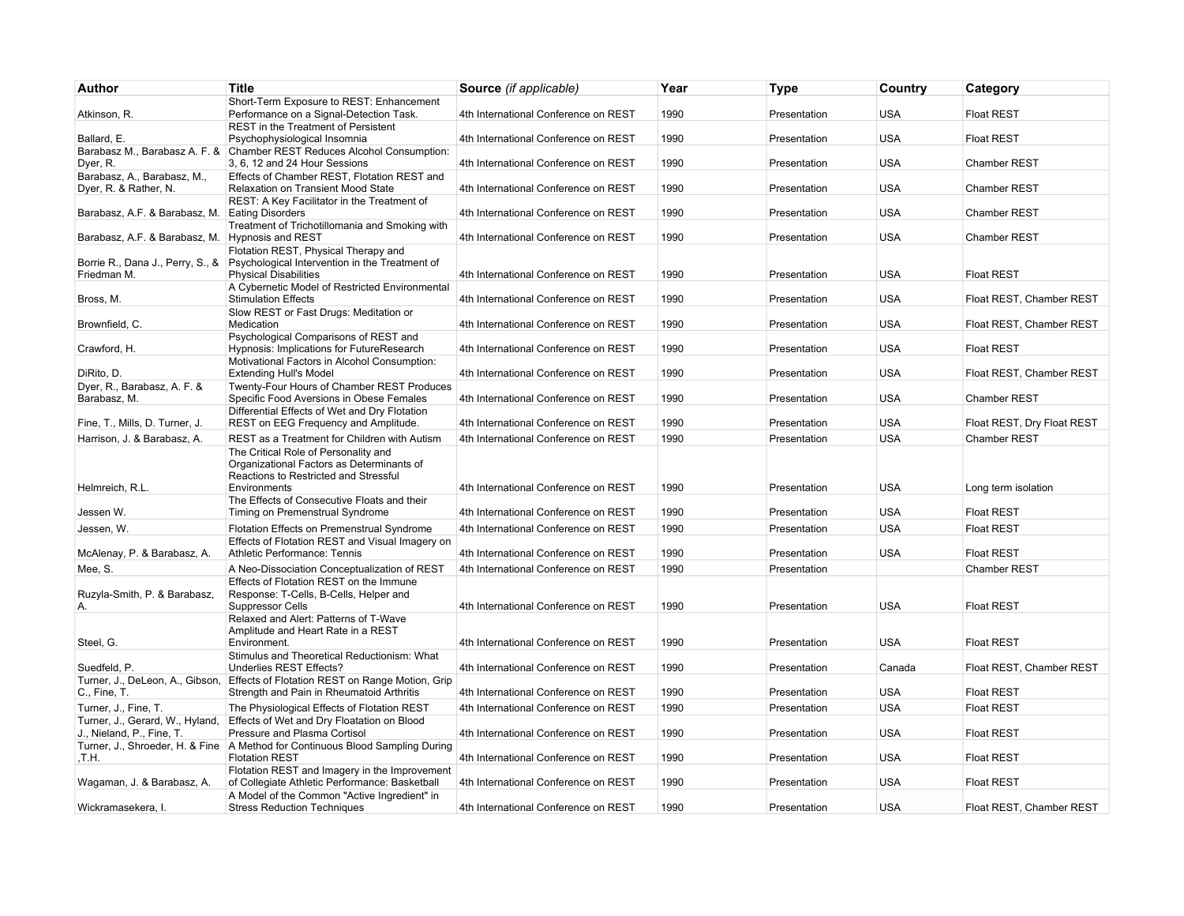| Author                                               | <b>Title</b>                                                                                                                                                               | Source (if applicable)               | Year | <b>Type</b>  | Country    | Category                   |
|------------------------------------------------------|----------------------------------------------------------------------------------------------------------------------------------------------------------------------------|--------------------------------------|------|--------------|------------|----------------------------|
|                                                      | Short-Term Exposure to REST: Enhancement                                                                                                                                   |                                      |      |              |            |                            |
| Atkinson, R.                                         | Performance on a Signal-Detection Task.                                                                                                                                    | 4th International Conference on REST | 1990 | Presentation | <b>USA</b> | <b>Float REST</b>          |
| Ballard, E.                                          | REST in the Treatment of Persistent<br>Psychophysiological Insomnia                                                                                                        | 4th International Conference on REST | 1990 | Presentation | <b>USA</b> | <b>Float REST</b>          |
| Dyer, R.                                             | Barabasz M., Barabasz A. F. & Chamber REST Reduces Alcohol Consumption:<br>3, 6, 12 and 24 Hour Sessions                                                                   | 4th International Conference on REST | 1990 | Presentation | <b>USA</b> | <b>Chamber REST</b>        |
| Barabasz, A., Barabasz, M.,<br>Dyer, R. & Rather, N. | Effects of Chamber REST, Flotation REST and<br>Relaxation on Transient Mood State                                                                                          | 4th International Conference on REST | 1990 | Presentation | <b>USA</b> | Chamber REST               |
| Barabasz, A.F. & Barabasz, M. Eating Disorders       | REST: A Key Facilitator in the Treatment of                                                                                                                                | 4th International Conference on REST | 1990 | Presentation | <b>USA</b> | <b>Chamber REST</b>        |
| Barabasz, A.F. & Barabasz, M. Hypnosis and REST      | Treatment of Trichotillomania and Smoking with                                                                                                                             | 4th International Conference on REST | 1990 | Presentation | <b>USA</b> | Chamber REST               |
|                                                      | Flotation REST, Physical Therapy and                                                                                                                                       |                                      |      |              |            |                            |
| Friedman M.                                          | Borrie R., Dana J., Perry, S., & Psychological Intervention in the Treatment of<br><b>Physical Disabilities</b>                                                            | 4th International Conference on REST | 1990 | Presentation | <b>USA</b> | <b>Float REST</b>          |
| Bross, M.                                            | A Cybernetic Model of Restricted Environmental<br><b>Stimulation Effects</b>                                                                                               | 4th International Conference on REST | 1990 | Presentation | <b>USA</b> | Float REST, Chamber REST   |
|                                                      | Slow REST or Fast Drugs: Meditation or                                                                                                                                     |                                      |      |              |            |                            |
| Brownfield, C.                                       | Medication<br>Psychological Comparisons of REST and                                                                                                                        | 4th International Conference on REST | 1990 | Presentation | <b>USA</b> | Float REST, Chamber REST   |
| Crawford, H.                                         | Hypnosis: Implications for FutureResearch                                                                                                                                  | 4th International Conference on REST | 1990 | Presentation | <b>USA</b> | <b>Float REST</b>          |
| DiRito, D.                                           | Motivational Factors in Alcohol Consumption:<br><b>Extending Hull's Model</b>                                                                                              | 4th International Conference on REST | 1990 | Presentation | <b>USA</b> | Float REST, Chamber REST   |
| Dyer, R., Barabasz, A. F. &<br>Barabasz, M.          | Twenty-Four Hours of Chamber REST Produces<br>Specific Food Aversions in Obese Females                                                                                     | 4th International Conference on REST | 1990 | Presentation | <b>USA</b> | <b>Chamber REST</b>        |
|                                                      | Differential Effects of Wet and Dry Flotation                                                                                                                              |                                      |      |              |            |                            |
| Fine, T., Mills, D. Turner, J.                       | REST on EEG Frequency and Amplitude.                                                                                                                                       | 4th International Conference on REST | 1990 | Presentation | <b>USA</b> | Float REST, Dry Float REST |
| Harrison, J. & Barabasz, A.                          | REST as a Treatment for Children with Autism<br>The Critical Role of Personality and<br>Organizational Factors as Determinants of<br>Reactions to Restricted and Stressful | 4th International Conference on REST | 1990 | Presentation | <b>USA</b> | Chamber REST               |
| Helmreich, R.L.                                      | Environments                                                                                                                                                               | 4th International Conference on REST | 1990 | Presentation | <b>USA</b> | Long term isolation        |
| Jessen W.                                            | The Effects of Consecutive Floats and their<br>Timing on Premenstrual Syndrome                                                                                             | 4th International Conference on REST | 1990 | Presentation | <b>USA</b> | <b>Float REST</b>          |
| Jessen, W.                                           | Flotation Effects on Premenstrual Syndrome                                                                                                                                 | 4th International Conference on REST | 1990 | Presentation | <b>USA</b> | <b>Float REST</b>          |
| McAlenay, P. & Barabasz, A.                          | Effects of Flotation REST and Visual Imagery on<br>Athletic Performance: Tennis                                                                                            | 4th International Conference on REST | 1990 | Presentation | <b>USA</b> | <b>Float REST</b>          |
| Mee, S.                                              | A Neo-Dissociation Conceptualization of REST                                                                                                                               | 4th International Conference on REST | 1990 | Presentation |            | Chamber REST               |
| Ruzyla-Smith, P. & Barabasz,                         | Effects of Flotation REST on the Immune<br>Response: T-Cells, B-Cells, Helper and                                                                                          |                                      |      |              |            |                            |
| А.                                                   | <b>Suppressor Cells</b>                                                                                                                                                    | 4th International Conference on REST | 1990 | Presentation | <b>USA</b> | <b>Float REST</b>          |
| Steel, G.                                            | Relaxed and Alert: Patterns of T-Wave<br>Amplitude and Heart Rate in a REST<br>Environment.                                                                                | 4th International Conference on REST | 1990 | Presentation | <b>USA</b> | <b>Float REST</b>          |
| Suedfeld, P.                                         | Stimulus and Theoretical Reductionism: What<br>Underlies REST Effects?                                                                                                     | 4th International Conference on REST | 1990 | Presentation | Canada     | Float REST, Chamber REST   |
|                                                      | Turner, J., DeLeon, A., Gibson, Effects of Flotation REST on Range Motion, Grip                                                                                            |                                      |      |              |            |                            |
| C., Fine, T.                                         | Strength and Pain in Rheumatoid Arthritis                                                                                                                                  | 4th International Conference on REST | 1990 | Presentation | <b>USA</b> | <b>Float REST</b>          |
| Turner, J., Fine, T.                                 | The Physiological Effects of Flotation REST                                                                                                                                | 4th International Conference on REST | 1990 | Presentation | <b>USA</b> | <b>Float REST</b>          |
| J., Nieland, P., Fine, T.                            | Turner, J., Gerard, W., Hyland, Effects of Wet and Dry Floatation on Blood<br>Pressure and Plasma Cortisol                                                                 | 4th International Conference on REST | 1990 | Presentation | <b>USA</b> | <b>Float REST</b>          |
| .T.H.                                                | Turner, J., Shroeder, H. & Fine   A Method for Continuous Blood Sampling During<br><b>Flotation REST</b>                                                                   | 4th International Conference on REST | 1990 | Presentation | <b>USA</b> | <b>Float REST</b>          |
| Wagaman, J. & Barabasz, A.                           | Flotation REST and Imagery in the Improvement<br>of Collegiate Athletic Performance: Basketball                                                                            | 4th International Conference on REST | 1990 | Presentation | <b>USA</b> | <b>Float REST</b>          |
|                                                      | A Model of the Common "Active Ingredient" in                                                                                                                               |                                      |      |              |            |                            |
| Wickramasekera, I.                                   | <b>Stress Reduction Techniques</b>                                                                                                                                         | 4th International Conference on REST | 1990 | Presentation | <b>USA</b> | Float REST. Chamber REST   |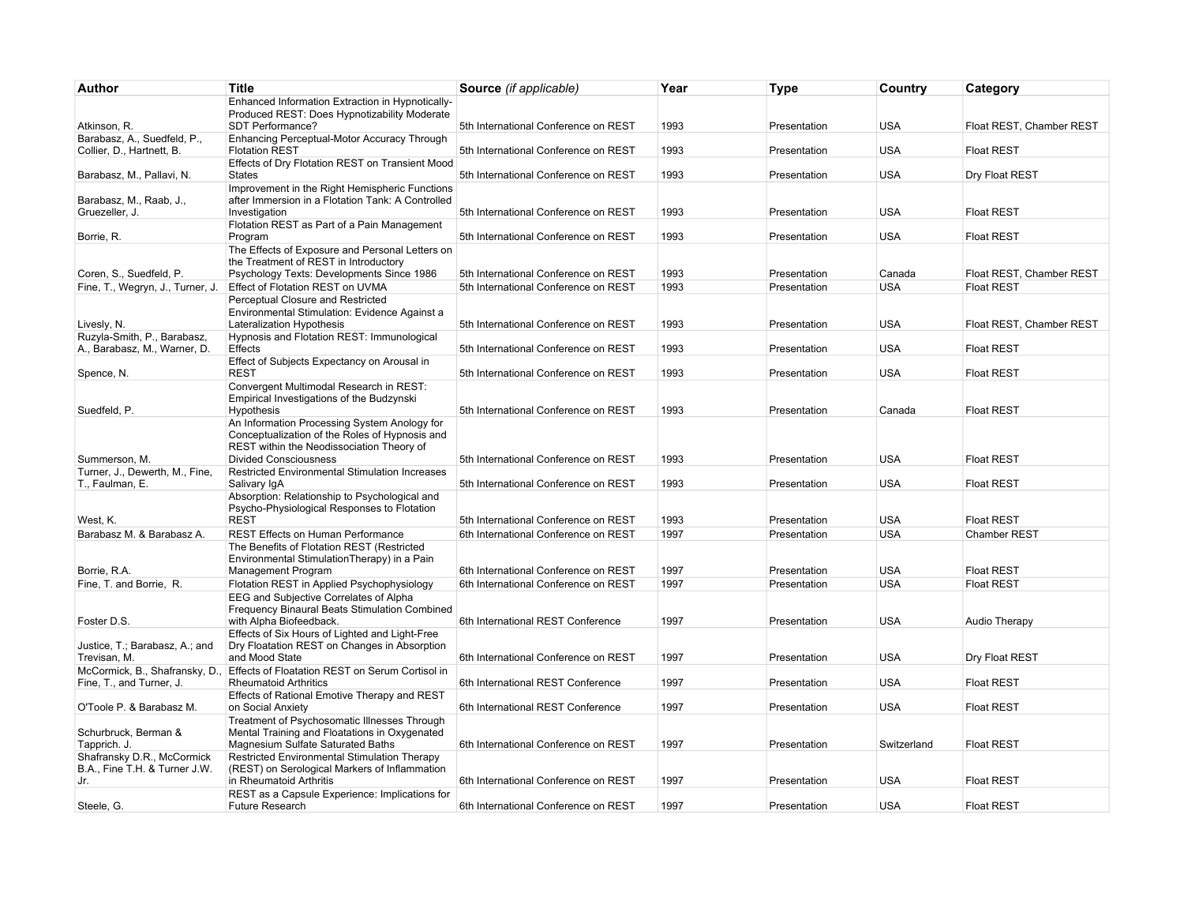| Author                           | <b>Title</b>                                                                                   | Source (if applicable)               | Year | <b>Type</b>  | Country     | Category                 |
|----------------------------------|------------------------------------------------------------------------------------------------|--------------------------------------|------|--------------|-------------|--------------------------|
|                                  | Enhanced Information Extraction in Hypnotically-                                               |                                      |      |              |             |                          |
| Atkinson, R.                     | Produced REST: Does Hypnotizability Moderate<br>SDT Performance?                               | 5th International Conference on REST | 1993 | Presentation | <b>USA</b>  | Float REST, Chamber REST |
| Barabasz, A., Suedfeld, P.,      | Enhancing Perceptual-Motor Accuracy Through                                                    |                                      |      |              |             |                          |
| Collier, D., Hartnett, B.        | <b>Flotation REST</b>                                                                          | 5th International Conference on REST | 1993 | Presentation | <b>USA</b>  | <b>Float REST</b>        |
|                                  | Effects of Dry Flotation REST on Transient Mood                                                |                                      |      |              |             |                          |
| Barabasz, M., Pallavi, N.        | <b>States</b><br>Improvement in the Right Hemispheric Functions                                | 5th International Conference on REST | 1993 | Presentation | <b>USA</b>  | Dry Float REST           |
| Barabasz, M., Raab, J.,          | after Immersion in a Flotation Tank: A Controlled                                              |                                      |      |              |             |                          |
| Gruezeller, J.                   | Investigation                                                                                  | 5th International Conference on REST | 1993 | Presentation | <b>USA</b>  | <b>Float REST</b>        |
|                                  | Flotation REST as Part of a Pain Management                                                    |                                      |      |              |             |                          |
| Borrie, R.                       | Program                                                                                        | 5th International Conference on REST | 1993 | Presentation | <b>USA</b>  | <b>Float REST</b>        |
|                                  | The Effects of Exposure and Personal Letters on                                                |                                      |      |              |             |                          |
| Coren, S., Suedfeld, P.          | the Treatment of REST in Introductory<br>Psychology Texts: Developments Since 1986             | 5th International Conference on REST | 1993 | Presentation | Canada      | Float REST, Chamber REST |
| Fine, T., Wegryn, J., Turner, J. | Effect of Flotation REST on UVMA                                                               | 5th International Conference on REST | 1993 | Presentation | <b>USA</b>  | <b>Float REST</b>        |
|                                  | Perceptual Closure and Restricted                                                              |                                      |      |              |             |                          |
|                                  | Environmental Stimulation: Evidence Against a                                                  |                                      |      |              |             |                          |
| Livesly, N.                      | Lateralization Hypothesis                                                                      | 5th International Conference on REST | 1993 | Presentation | <b>USA</b>  | Float REST, Chamber REST |
| Ruzyla-Smith, P., Barabasz,      | Hypnosis and Flotation REST: Immunological                                                     |                                      |      |              |             |                          |
| A., Barabasz, M., Warner, D.     | Effects                                                                                        | 5th International Conference on REST | 1993 | Presentation | <b>USA</b>  | <b>Float REST</b>        |
| Spence, N.                       | Effect of Subjects Expectancy on Arousal in<br><b>REST</b>                                     | 5th International Conference on REST | 1993 | Presentation | <b>USA</b>  | <b>Float REST</b>        |
|                                  | Convergent Multimodal Research in REST:                                                        |                                      |      |              |             |                          |
|                                  | Empirical Investigations of the Budzynski                                                      |                                      |      |              |             |                          |
| Suedfeld, P.                     | Hypothesis                                                                                     | 5th International Conference on REST | 1993 | Presentation | Canada      | <b>Float REST</b>        |
|                                  | An Information Processing System Anology for                                                   |                                      |      |              |             |                          |
|                                  | Conceptualization of the Roles of Hypnosis and                                                 |                                      |      |              |             |                          |
| Summerson, M.                    | REST within the Neodissociation Theory of<br><b>Divided Consciousness</b>                      | 5th International Conference on REST | 1993 | Presentation | <b>USA</b>  | <b>Float REST</b>        |
| Turner, J., Dewerth, M., Fine,   | Restricted Environmental Stimulation Increases                                                 |                                      |      |              |             |                          |
| T., Faulman, E.                  | Salivary IgA                                                                                   | 5th International Conference on REST | 1993 | Presentation | <b>USA</b>  | <b>Float REST</b>        |
|                                  | Absorption: Relationship to Psychological and                                                  |                                      |      |              |             |                          |
|                                  | Psycho-Physiological Responses to Flotation                                                    |                                      |      |              |             |                          |
| West. K.                         | <b>REST</b>                                                                                    | 5th International Conference on REST | 1993 | Presentation | <b>USA</b>  | <b>Float REST</b>        |
| Barabasz M. & Barabasz A.        | <b>REST Effects on Human Performance</b><br>The Benefits of Flotation REST (Restricted         | 6th International Conference on REST | 1997 | Presentation | <b>USA</b>  | Chamber REST             |
|                                  | Environmental StimulationTherapy) in a Pain                                                    |                                      |      |              |             |                          |
| Borrie, R.A.                     | Management Program                                                                             | 6th International Conference on REST | 1997 | Presentation | <b>USA</b>  | <b>Float REST</b>        |
| Fine, T. and Borrie, R.          | Flotation REST in Applied Psychophysiology                                                     | 6th International Conference on REST | 1997 | Presentation | <b>USA</b>  | <b>Float REST</b>        |
|                                  | EEG and Subjective Correlates of Alpha                                                         |                                      |      |              |             |                          |
|                                  | Frequency Binaural Beats Stimulation Combined                                                  |                                      |      |              |             |                          |
| Foster D.S.                      | with Alpha Biofeedback.                                                                        | 6th International REST Conference    | 1997 | Presentation | <b>USA</b>  | Audio Therapy            |
| Justice, T.; Barabasz, A.; and   | Effects of Six Hours of Lighted and Light-Free<br>Dry Floatation REST on Changes in Absorption |                                      |      |              |             |                          |
| Trevisan, M.                     | and Mood State                                                                                 | 6th International Conference on REST | 1997 | Presentation | <b>USA</b>  | Dry Float REST           |
| McCormick, B., Shafransky, D.    | Effects of Floatation REST on Serum Cortisol in                                                |                                      |      |              |             |                          |
| Fine, T., and Turner, J.         | <b>Rheumatoid Arthritics</b>                                                                   | 6th International REST Conference    | 1997 | Presentation | <b>USA</b>  | <b>Float REST</b>        |
|                                  | Effects of Rational Emotive Therapy and REST                                                   |                                      |      |              |             |                          |
| O'Toole P. & Barabasz M.         | on Social Anxiety<br>Treatment of Psychosomatic Illnesses Through                              | 6th International REST Conference    | 1997 | Presentation | <b>USA</b>  | <b>Float REST</b>        |
| Schurbruck, Berman &             | Mental Training and Floatations in Oxygenated                                                  |                                      |      |              |             |                          |
| Tapprich. J.                     | Magnesium Sulfate Saturated Baths                                                              | 6th International Conference on REST | 1997 | Presentation | Switzerland | <b>Float REST</b>        |
| Shafransky D.R., McCormick       | Restricted Environmental Stimulation Therapy                                                   |                                      |      |              |             |                          |
| B.A., Fine T.H. & Turner J.W.    | (REST) on Serological Markers of Inflammation                                                  |                                      |      |              |             |                          |
| Jr.                              | in Rheumatoid Arthritis                                                                        | 6th International Conference on REST | 1997 | Presentation | <b>USA</b>  | <b>Float REST</b>        |
| Steele, G.                       | REST as a Capsule Experience: Implications for<br><b>Future Research</b>                       | 6th International Conference on REST | 1997 | Presentation | <b>USA</b>  | <b>Float REST</b>        |
|                                  |                                                                                                |                                      |      |              |             |                          |